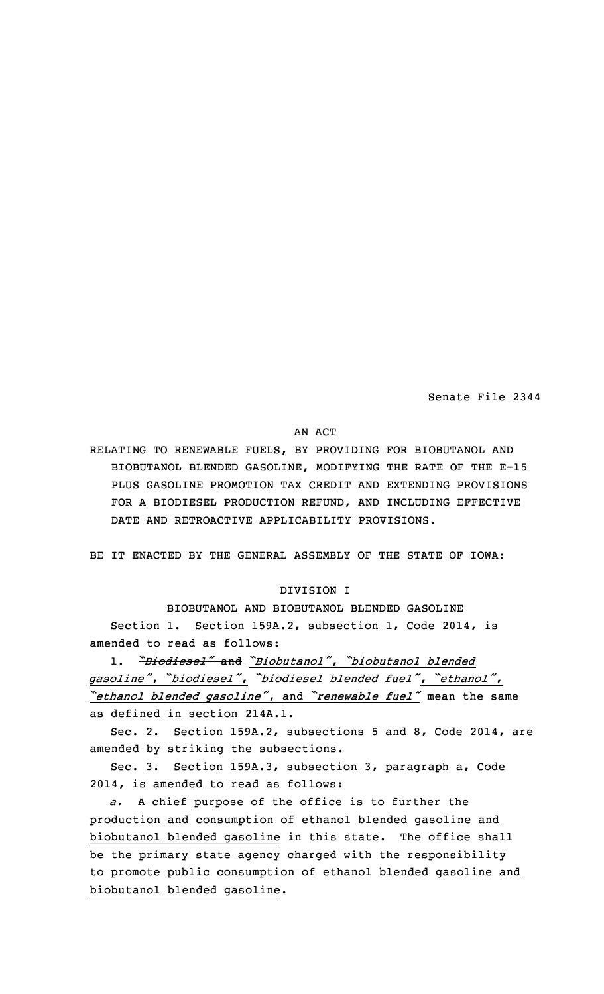Senate File 2344

## AN ACT

RELATING TO RENEWABLE FUELS, BY PROVIDING FOR BIOBUTANOL AND BIOBUTANOL BLENDED GASOLINE, MODIFYING THE RATE OF THE E-15 PLUS GASOLINE PROMOTION TAX CREDIT AND EXTENDING PROVISIONS FOR A BIODIESEL PRODUCTION REFUND, AND INCLUDING EFFECTIVE DATE AND RETROACTIVE APPLICABILITY PROVISIONS.

BE IT ENACTED BY THE GENERAL ASSEMBLY OF THE STATE OF IOWA:

# DIVISION I

BIOBUTANOL AND BIOBUTANOL BLENDED GASOLINE Section 1. Section 159A.2, subsection 1, Code 2014, is amended to read as follows:

1. *"Biodiesel"* and *"Biobutanol"*, *"biobutanol blended gasoline"*, *"biodiesel"*, *"biodiesel blended fuel"*, *"ethanol"*, *"ethanol blended gasoline"*, and *"renewable fuel"* mean the same as defined in section 214A.1.

Sec. 2. Section 159A.2, subsections 5 and 8, Code 2014, are amended by striking the subsections.

Sec. 3. Section 159A.3, subsection 3, paragraph a, Code 2014, is amended to read as follows:

*a.* <sup>A</sup> chief purpose of the office is to further the production and consumption of ethanol blended gasoline and biobutanol blended gasoline in this state. The office shall be the primary state agency charged with the responsibility to promote public consumption of ethanol blended gasoline and biobutanol blended gasoline.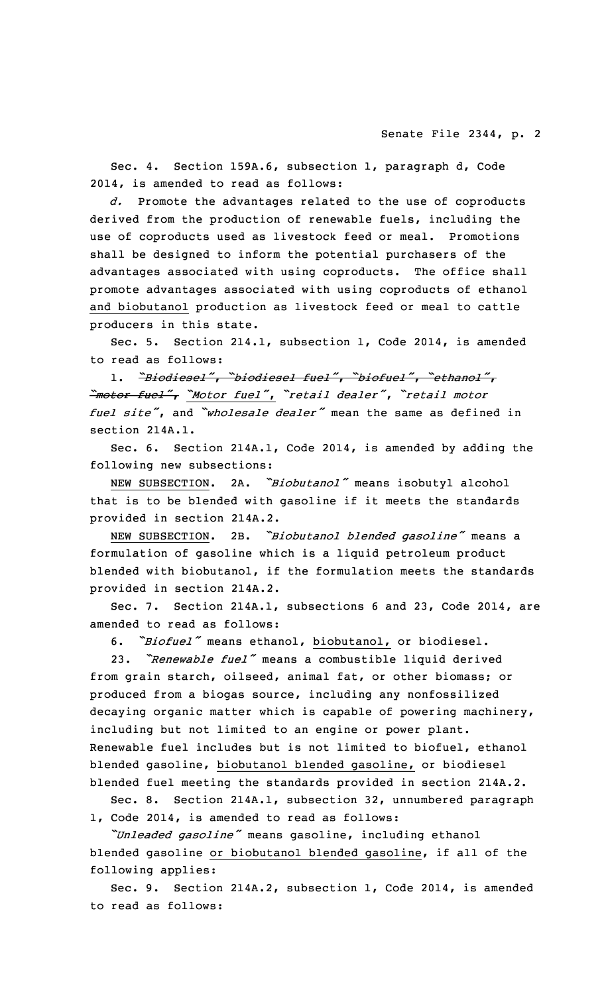Sec. 4. Section 159A.6, subsection 1, paragraph d, Code 2014, is amended to read as follows:

*d.* Promote the advantages related to the use of coproducts derived from the production of renewable fuels, including the use of coproducts used as livestock feed or meal. Promotions shall be designed to inform the potential purchasers of the advantages associated with using coproducts. The office shall promote advantages associated with using coproducts of ethanol and biobutanol production as livestock feed or meal to cattle producers in this state.

Sec. 5. Section 214.1, subsection 1, Code 2014, is amended to read as follows:

1. *"Biodiesel"*, *"biodiesel fuel"*, *"biofuel"*, *"ethanol"*, *"motor fuel"*, *"Motor fuel"*, *"retail dealer"*, *"retail motor fuel site"*, and *"wholesale dealer"* mean the same as defined in section 214A.1.

Sec. 6. Section 214A.1, Code 2014, is amended by adding the following new subsections:

NEW SUBSECTION. 2A. *"Biobutanol"* means isobutyl alcohol that is to be blended with gasoline if it meets the standards provided in section 214A.2.

NEW SUBSECTION. 2B. *"Biobutanol blended gasoline"* means <sup>a</sup> formulation of gasoline which is <sup>a</sup> liquid petroleum product blended with biobutanol, if the formulation meets the standards provided in section 214A.2.

Sec. 7. Section 214A.1, subsections 6 and 23, Code 2014, are amended to read as follows:

6. *"Biofuel"* means ethanol, biobutanol, or biodiesel.

23. *"Renewable fuel"* means <sup>a</sup> combustible liquid derived from grain starch, oilseed, animal fat, or other biomass; or produced from <sup>a</sup> biogas source, including any nonfossilized decaying organic matter which is capable of powering machinery, including but not limited to an engine or power plant. Renewable fuel includes but is not limited to biofuel, ethanol blended gasoline, biobutanol blended gasoline, or biodiesel blended fuel meeting the standards provided in section 214A.2.

Sec. 8. Section 214A.1, subsection 32, unnumbered paragraph 1, Code 2014, is amended to read as follows:

*"Unleaded gasoline"* means gasoline, including ethanol blended gasoline or biobutanol blended gasoline, if all of the following applies:

Sec. 9. Section 214A.2, subsection 1, Code 2014, is amended to read as follows: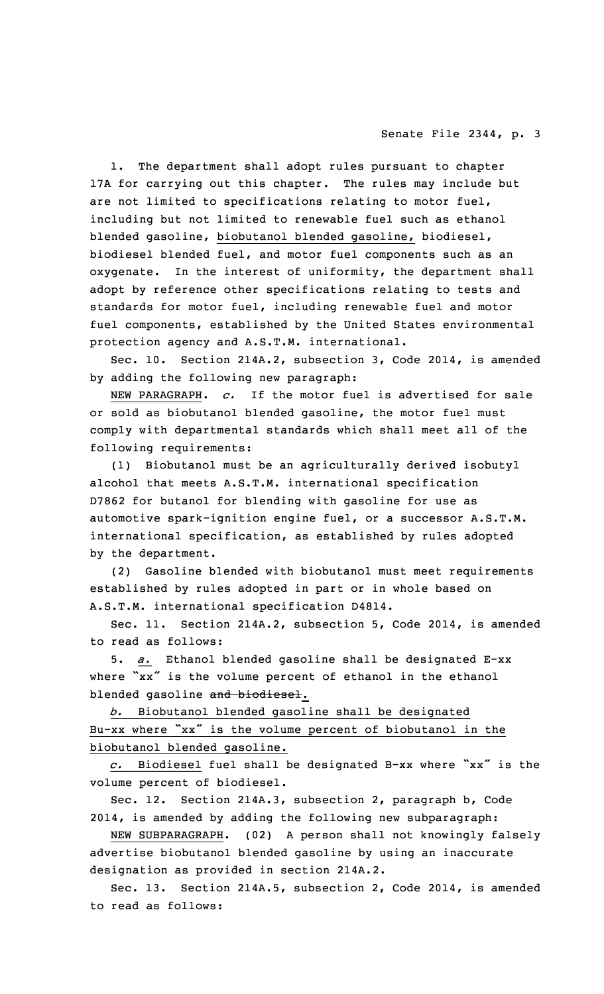### Senate File 2344, p. 3

1. The department shall adopt rules pursuant to chapter 17A for carrying out this chapter. The rules may include but are not limited to specifications relating to motor fuel, including but not limited to renewable fuel such as ethanol blended gasoline, biobutanol blended gasoline, biodiesel, biodiesel blended fuel, and motor fuel components such as an oxygenate. In the interest of uniformity, the department shall adopt by reference other specifications relating to tests and standards for motor fuel, including renewable fuel and motor fuel components, established by the United States environmental protection agency and A.S.T.M. international.

Sec. 10. Section 214A.2, subsection 3, Code 2014, is amended by adding the following new paragraph:

NEW PARAGRAPH. *c.* If the motor fuel is advertised for sale or sold as biobutanol blended gasoline, the motor fuel must comply with departmental standards which shall meet all of the following requirements:

(1) Biobutanol must be an agriculturally derived isobutyl alcohol that meets A.S.T.M. international specification D7862 for butanol for blending with gasoline for use as automotive spark-ignition engine fuel, or <sup>a</sup> successor A.S.T.M. international specification, as established by rules adopted by the department.

(2) Gasoline blended with biobutanol must meet requirements established by rules adopted in part or in whole based on A.S.T.M. international specification D4814.

Sec. 11. Section 214A.2, subsection 5, Code 2014, is amended to read as follows:

5. *a.* Ethanol blended gasoline shall be designated E-xx where "xx" is the volume percent of ethanol in the ethanol blended gasoline and biodiesel.

*b.* Biobutanol blended gasoline shall be designated Bu-xx where "xx" is the volume percent of biobutanol in the biobutanol blended gasoline.

*c.* Biodiesel fuel shall be designated B-xx where "xx" is the volume percent of biodiesel.

Sec. 12. Section 214A.3, subsection 2, paragraph b, Code 2014, is amended by adding the following new subparagraph:

NEW SUBPARAGRAPH. (02) <sup>A</sup> person shall not knowingly falsely advertise biobutanol blended gasoline by using an inaccurate designation as provided in section 214A.2.

Sec. 13. Section 214A.5, subsection 2, Code 2014, is amended to read as follows: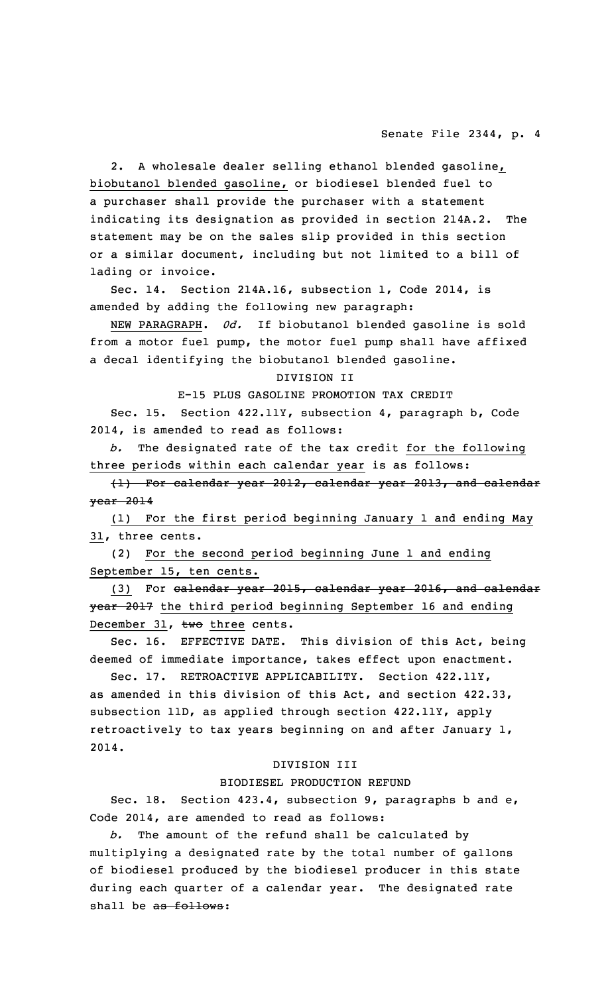2. A wholesale dealer selling ethanol blended gasoline, biobutanol blended gasoline, or biodiesel blended fuel to <sup>a</sup> purchaser shall provide the purchaser with <sup>a</sup> statement indicating its designation as provided in section 214A.2. The statement may be on the sales slip provided in this section or <sup>a</sup> similar document, including but not limited to <sup>a</sup> bill of lading or invoice.

Sec. 14. Section 214A.16, subsection 1, Code 2014, is amended by adding the following new paragraph:

NEW PARAGRAPH. *0d.* If biobutanol blended gasoline is sold from <sup>a</sup> motor fuel pump, the motor fuel pump shall have affixed <sup>a</sup> decal identifying the biobutanol blended gasoline.

#### DIVISION II

E-15 PLUS GASOLINE PROMOTION TAX CREDIT

Sec. 15. Section 422.11Y, subsection 4, paragraph b, Code 2014, is amended to read as follows:

*b.* The designated rate of the tax credit for the following three periods within each calendar year is as follows:

(1) For calendar year 2012, calendar year 2013, and calendar year 2014

(1) For the first period beginning January 1 and ending May 31, three cents.

(2) For the second period beginning June 1 and ending September 15, ten cents.

(3) For calendar year 2015, calendar year 2016, and calendar year 2017 the third period beginning September 16 and ending December 31, two three cents.

Sec. 16. EFFECTIVE DATE. This division of this Act, being deemed of immediate importance, takes effect upon enactment.

Sec. 17. RETROACTIVE APPLICABILITY. Section 422.11Y, as amended in this division of this Act, and section 422.33, subsection 11D, as applied through section 422.11Y, apply retroactively to tax years beginning on and after January 1, 2014.

#### DIVISION III

#### BIODIESEL PRODUCTION REFUND

Sec. 18. Section 423.4, subsection 9, paragraphs b and e, Code 2014, are amended to read as follows:

The amount of the refund shall be calculated by multiplying <sup>a</sup> designated rate by the total number of gallons of biodiesel produced by the biodiesel producer in this state during each quarter of <sup>a</sup> calendar year. The designated rate shall be as follows: